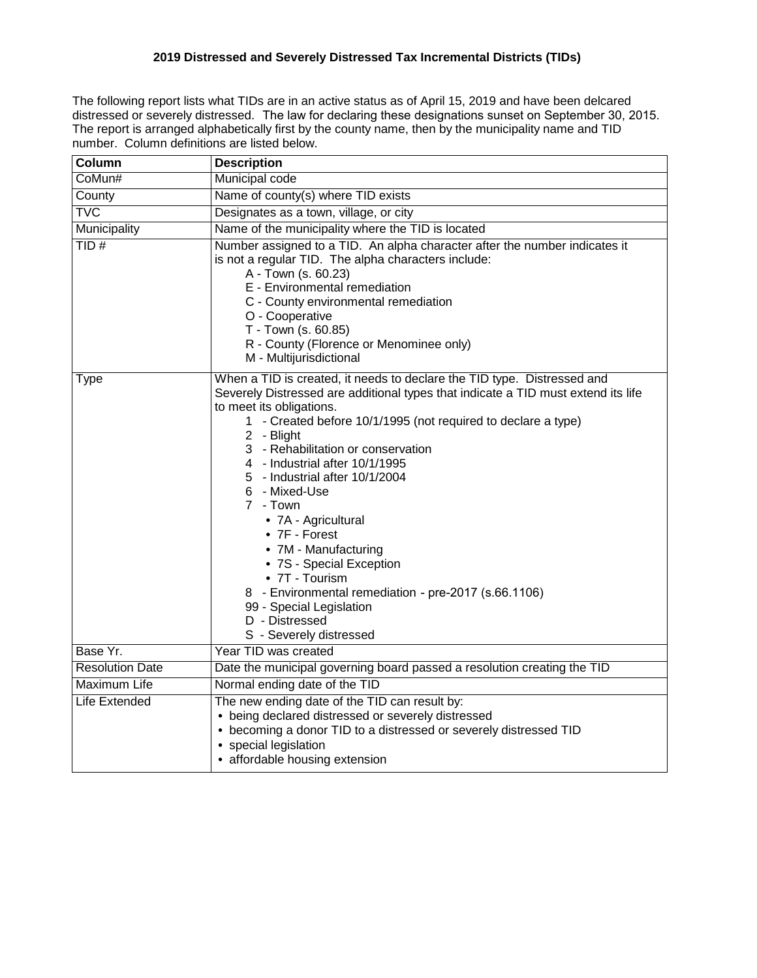## **2019 Distressed and Severely Distressed Tax Incremental Districts (TIDs)**

The following report lists what TIDs are in an active status as of April 15, 2019 and have been delcared distressed or severely distressed. The law for declaring these designations sunset on September 30, 2015. The report is arranged alphabetically first by the county name, then by the municipality name and TID number. Column definitions are listed below.

| Column                 | <b>Description</b>                                                                                                                                                                                                                                                                                                                                                                                                                                                                                                                                                                                                                                            |  |  |  |  |  |
|------------------------|---------------------------------------------------------------------------------------------------------------------------------------------------------------------------------------------------------------------------------------------------------------------------------------------------------------------------------------------------------------------------------------------------------------------------------------------------------------------------------------------------------------------------------------------------------------------------------------------------------------------------------------------------------------|--|--|--|--|--|
| CoMun#                 | Municipal code                                                                                                                                                                                                                                                                                                                                                                                                                                                                                                                                                                                                                                                |  |  |  |  |  |
| County                 | Name of county(s) where TID exists                                                                                                                                                                                                                                                                                                                                                                                                                                                                                                                                                                                                                            |  |  |  |  |  |
| <b>TVC</b>             | Designates as a town, village, or city                                                                                                                                                                                                                                                                                                                                                                                                                                                                                                                                                                                                                        |  |  |  |  |  |
| Municipality           | Name of the municipality where the TID is located                                                                                                                                                                                                                                                                                                                                                                                                                                                                                                                                                                                                             |  |  |  |  |  |
| TID#                   | Number assigned to a TID. An alpha character after the number indicates it<br>is not a regular TID. The alpha characters include:<br>A - Town (s. 60.23)<br>E - Environmental remediation<br>C - County environmental remediation<br>O - Cooperative<br>T - Town (s. 60.85)<br>R - County (Florence or Menominee only)<br>M - Multijurisdictional                                                                                                                                                                                                                                                                                                             |  |  |  |  |  |
| <b>Type</b>            | When a TID is created, it needs to declare the TID type. Distressed and<br>Severely Distressed are additional types that indicate a TID must extend its life<br>to meet its obligations.<br>1 - Created before 10/1/1995 (not required to declare a type)<br>2 - Blight<br>3 - Rehabilitation or conservation<br>4 - Industrial after 10/1/1995<br>5 - Industrial after 10/1/2004<br>6 - Mixed-Use<br>7 - Town<br>• 7A - Agricultural<br>• 7F - Forest<br>• 7M - Manufacturing<br>• 7S - Special Exception<br>• 7T - Tourism<br>8 - Environmental remediation - pre-2017 (s.66.1106)<br>99 - Special Legislation<br>D - Distressed<br>S - Severely distressed |  |  |  |  |  |
| Base Yr.               | Year TID was created                                                                                                                                                                                                                                                                                                                                                                                                                                                                                                                                                                                                                                          |  |  |  |  |  |
| <b>Resolution Date</b> | Date the municipal governing board passed a resolution creating the TID                                                                                                                                                                                                                                                                                                                                                                                                                                                                                                                                                                                       |  |  |  |  |  |
| Maximum Life           | Normal ending date of the TID                                                                                                                                                                                                                                                                                                                                                                                                                                                                                                                                                                                                                                 |  |  |  |  |  |
| Life Extended          | The new ending date of the TID can result by:<br>• being declared distressed or severely distressed<br>• becoming a donor TID to a distressed or severely distressed TID<br>• special legislation<br>• affordable housing extension                                                                                                                                                                                                                                                                                                                                                                                                                           |  |  |  |  |  |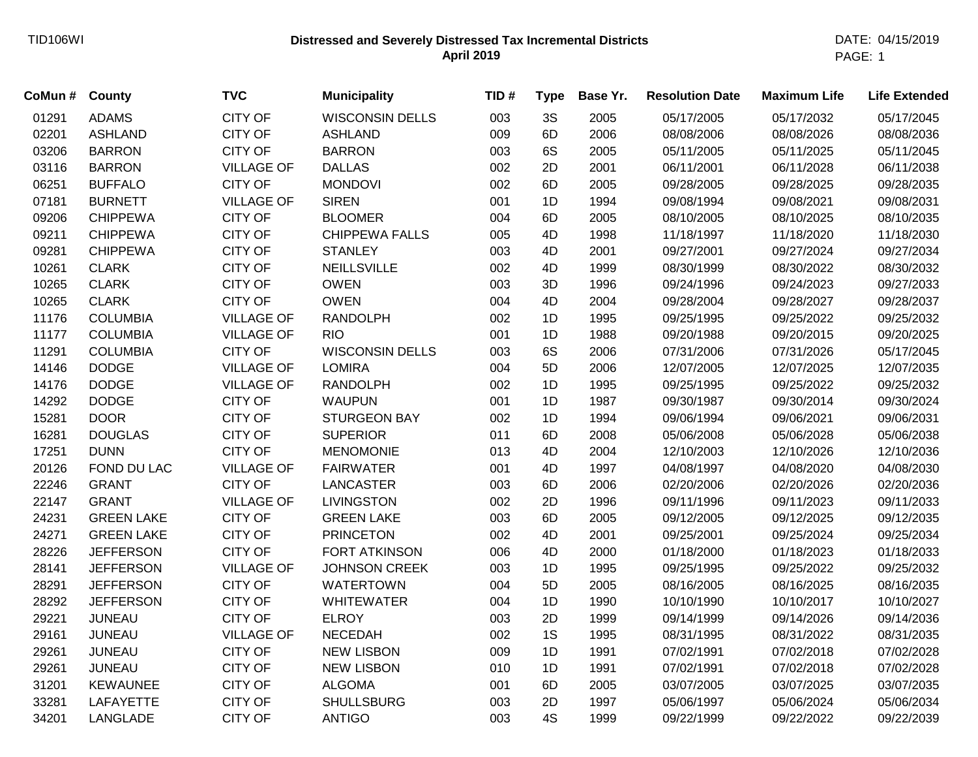## **Distressed and Severely Distressed Tax Incremental Districts** TID106WI DATE: 04/15/2019 **April 2019**

| CoMun # | <b>County</b>     | <b>TVC</b>        | <b>Municipality</b>    | TID# | <b>Type</b> | Base Yr. | <b>Resolution Date</b> | <b>Maximum Life</b> | <b>Life Extended</b> |
|---------|-------------------|-------------------|------------------------|------|-------------|----------|------------------------|---------------------|----------------------|
| 01291   | <b>ADAMS</b>      | <b>CITY OF</b>    | <b>WISCONSIN DELLS</b> | 003  | 3S          | 2005     | 05/17/2005             | 05/17/2032          | 05/17/2045           |
| 02201   | <b>ASHLAND</b>    | <b>CITY OF</b>    | <b>ASHLAND</b>         | 009  | 6D          | 2006     | 08/08/2006             | 08/08/2026          | 08/08/2036           |
| 03206   | <b>BARRON</b>     | <b>CITY OF</b>    | <b>BARRON</b>          | 003  | 6S          | 2005     | 05/11/2005             | 05/11/2025          | 05/11/2045           |
| 03116   | <b>BARRON</b>     | <b>VILLAGE OF</b> | <b>DALLAS</b>          | 002  | 2D          | 2001     | 06/11/2001             | 06/11/2028          | 06/11/2038           |
| 06251   | <b>BUFFALO</b>    | <b>CITY OF</b>    | <b>MONDOVI</b>         | 002  | 6D          | 2005     | 09/28/2005             | 09/28/2025          | 09/28/2035           |
| 07181   | <b>BURNETT</b>    | <b>VILLAGE OF</b> | <b>SIREN</b>           | 001  | 1D          | 1994     | 09/08/1994             | 09/08/2021          | 09/08/2031           |
| 09206   | <b>CHIPPEWA</b>   | <b>CITY OF</b>    | <b>BLOOMER</b>         | 004  | 6D          | 2005     | 08/10/2005             | 08/10/2025          | 08/10/2035           |
| 09211   | <b>CHIPPEWA</b>   | <b>CITY OF</b>    | <b>CHIPPEWA FALLS</b>  | 005  | 4D          | 1998     | 11/18/1997             | 11/18/2020          | 11/18/2030           |
| 09281   | <b>CHIPPEWA</b>   | <b>CITY OF</b>    | <b>STANLEY</b>         | 003  | 4D          | 2001     | 09/27/2001             | 09/27/2024          | 09/27/2034           |
| 10261   | <b>CLARK</b>      | <b>CITY OF</b>    | <b>NEILLSVILLE</b>     | 002  | 4D          | 1999     | 08/30/1999             | 08/30/2022          | 08/30/2032           |
| 10265   | <b>CLARK</b>      | <b>CITY OF</b>    | <b>OWEN</b>            | 003  | 3D          | 1996     | 09/24/1996             | 09/24/2023          | 09/27/2033           |
| 10265   | <b>CLARK</b>      | <b>CITY OF</b>    | <b>OWEN</b>            | 004  | 4D          | 2004     | 09/28/2004             | 09/28/2027          | 09/28/2037           |
| 11176   | <b>COLUMBIA</b>   | <b>VILLAGE OF</b> | <b>RANDOLPH</b>        | 002  | 1D          | 1995     | 09/25/1995             | 09/25/2022          | 09/25/2032           |
| 11177   | <b>COLUMBIA</b>   | <b>VILLAGE OF</b> | <b>RIO</b>             | 001  | 1D          | 1988     | 09/20/1988             | 09/20/2015          | 09/20/2025           |
| 11291   | <b>COLUMBIA</b>   | <b>CITY OF</b>    | <b>WISCONSIN DELLS</b> | 003  | 6S          | 2006     | 07/31/2006             | 07/31/2026          | 05/17/2045           |
| 14146   | <b>DODGE</b>      | <b>VILLAGE OF</b> | <b>LOMIRA</b>          | 004  | 5D          | 2006     | 12/07/2005             | 12/07/2025          | 12/07/2035           |
| 14176   | <b>DODGE</b>      | <b>VILLAGE OF</b> | <b>RANDOLPH</b>        | 002  | 1D          | 1995     | 09/25/1995             | 09/25/2022          | 09/25/2032           |
| 14292   | <b>DODGE</b>      | <b>CITY OF</b>    | <b>WAUPUN</b>          | 001  | 1D          | 1987     | 09/30/1987             | 09/30/2014          | 09/30/2024           |
| 15281   | <b>DOOR</b>       | <b>CITY OF</b>    | <b>STURGEON BAY</b>    | 002  | 1D          | 1994     | 09/06/1994             | 09/06/2021          | 09/06/2031           |
| 16281   | <b>DOUGLAS</b>    | <b>CITY OF</b>    | <b>SUPERIOR</b>        | 011  | 6D          | 2008     | 05/06/2008             | 05/06/2028          | 05/06/2038           |
| 17251   | <b>DUNN</b>       | <b>CITY OF</b>    | <b>MENOMONIE</b>       | 013  | 4D          | 2004     | 12/10/2003             | 12/10/2026          | 12/10/2036           |
| 20126   | FOND DU LAC       | <b>VILLAGE OF</b> | <b>FAIRWATER</b>       | 001  | 4D          | 1997     | 04/08/1997             | 04/08/2020          | 04/08/2030           |
| 22246   | <b>GRANT</b>      | <b>CITY OF</b>    | <b>LANCASTER</b>       | 003  | 6D          | 2006     | 02/20/2006             | 02/20/2026          | 02/20/2036           |
| 22147   | <b>GRANT</b>      | <b>VILLAGE OF</b> | <b>LIVINGSTON</b>      | 002  | 2D          | 1996     | 09/11/1996             | 09/11/2023          | 09/11/2033           |
| 24231   | <b>GREEN LAKE</b> | <b>CITY OF</b>    | <b>GREEN LAKE</b>      | 003  | 6D          | 2005     | 09/12/2005             | 09/12/2025          | 09/12/2035           |
| 24271   | <b>GREEN LAKE</b> | <b>CITY OF</b>    | <b>PRINCETON</b>       | 002  | 4D          | 2001     | 09/25/2001             | 09/25/2024          | 09/25/2034           |
| 28226   | <b>JEFFERSON</b>  | <b>CITY OF</b>    | <b>FORT ATKINSON</b>   | 006  | 4D          | 2000     | 01/18/2000             | 01/18/2023          | 01/18/2033           |
| 28141   | <b>JEFFERSON</b>  | <b>VILLAGE OF</b> | <b>JOHNSON CREEK</b>   | 003  | 1D          | 1995     | 09/25/1995             | 09/25/2022          | 09/25/2032           |
| 28291   | <b>JEFFERSON</b>  | <b>CITY OF</b>    | <b>WATERTOWN</b>       | 004  | 5D          | 2005     | 08/16/2005             | 08/16/2025          | 08/16/2035           |
| 28292   | <b>JEFFERSON</b>  | <b>CITY OF</b>    | <b>WHITEWATER</b>      | 004  | 1D          | 1990     | 10/10/1990             | 10/10/2017          | 10/10/2027           |
| 29221   | <b>JUNEAU</b>     | <b>CITY OF</b>    | <b>ELROY</b>           | 003  | 2D          | 1999     | 09/14/1999             | 09/14/2026          | 09/14/2036           |
| 29161   | <b>JUNEAU</b>     | <b>VILLAGE OF</b> | <b>NECEDAH</b>         | 002  | 1S          | 1995     | 08/31/1995             | 08/31/2022          | 08/31/2035           |
| 29261   | <b>JUNEAU</b>     | <b>CITY OF</b>    | <b>NEW LISBON</b>      | 009  | 1D          | 1991     | 07/02/1991             | 07/02/2018          | 07/02/2028           |
| 29261   | <b>JUNEAU</b>     | <b>CITY OF</b>    | <b>NEW LISBON</b>      | 010  | 1D          | 1991     | 07/02/1991             | 07/02/2018          | 07/02/2028           |
| 31201   | <b>KEWAUNEE</b>   | <b>CITY OF</b>    | <b>ALGOMA</b>          | 001  | 6D          | 2005     | 03/07/2005             | 03/07/2025          | 03/07/2035           |
| 33281   | <b>LAFAYETTE</b>  | <b>CITY OF</b>    | <b>SHULLSBURG</b>      | 003  | 2D          | 1997     | 05/06/1997             | 05/06/2024          | 05/06/2034           |
| 34201   | LANGLADE          | <b>CITY OF</b>    | <b>ANTIGO</b>          | 003  | 4S          | 1999     | 09/22/1999             | 09/22/2022          | 09/22/2039           |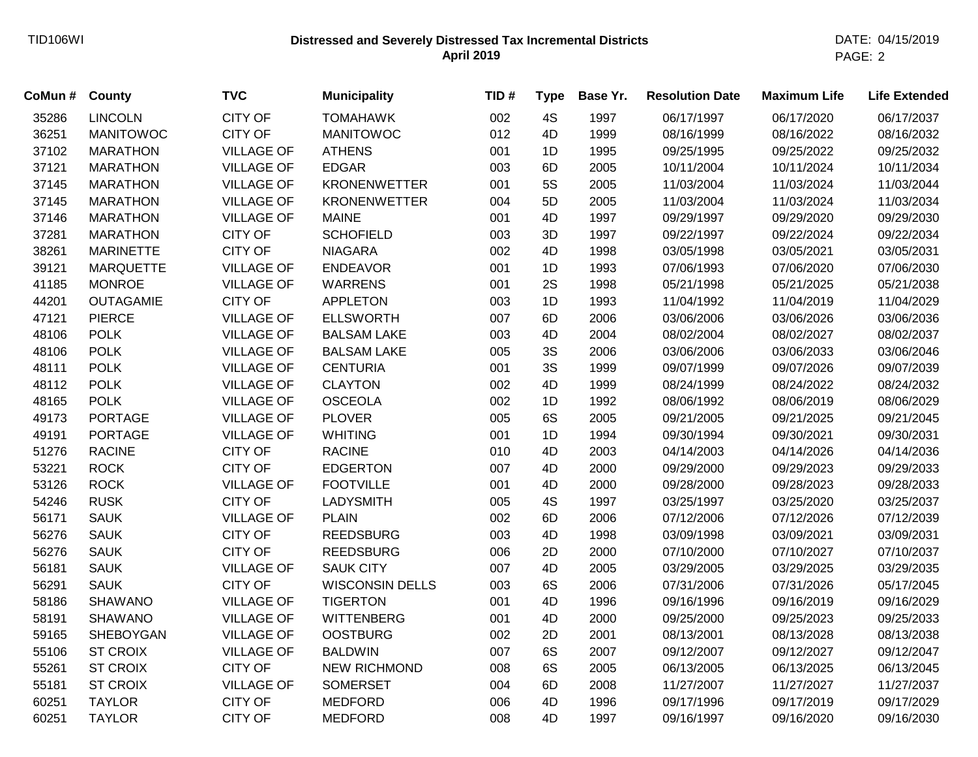## **Distressed and Severely Distressed Tax Incremental Districts** TID106WI DATE: 04/15/2019 **April 2019**

PAGE: 2

| CoMun# | County           | <b>TVC</b>        | <b>Municipality</b>    | TID# | <b>Type</b> | Base Yr. | <b>Resolution Date</b> | <b>Maximum Life</b> | <b>Life Extended</b> |
|--------|------------------|-------------------|------------------------|------|-------------|----------|------------------------|---------------------|----------------------|
| 35286  | <b>LINCOLN</b>   | <b>CITY OF</b>    | <b>TOMAHAWK</b>        | 002  | 4S          | 1997     | 06/17/1997             | 06/17/2020          | 06/17/2037           |
| 36251  | <b>MANITOWOC</b> | <b>CITY OF</b>    | <b>MANITOWOC</b>       | 012  | 4D          | 1999     | 08/16/1999             | 08/16/2022          | 08/16/2032           |
| 37102  | <b>MARATHON</b>  | <b>VILLAGE OF</b> | <b>ATHENS</b>          | 001  | 1D          | 1995     | 09/25/1995             | 09/25/2022          | 09/25/2032           |
| 37121  | <b>MARATHON</b>  | <b>VILLAGE OF</b> | <b>EDGAR</b>           | 003  | 6D          | 2005     | 10/11/2004             | 10/11/2024          | 10/11/2034           |
| 37145  | <b>MARATHON</b>  | <b>VILLAGE OF</b> | <b>KRONENWETTER</b>    | 001  | 5S          | 2005     | 11/03/2004             | 11/03/2024          | 11/03/2044           |
| 37145  | <b>MARATHON</b>  | <b>VILLAGE OF</b> | <b>KRONENWETTER</b>    | 004  | 5D          | 2005     | 11/03/2004             | 11/03/2024          | 11/03/2034           |
| 37146  | <b>MARATHON</b>  | <b>VILLAGE OF</b> | <b>MAINE</b>           | 001  | 4D          | 1997     | 09/29/1997             | 09/29/2020          | 09/29/2030           |
| 37281  | <b>MARATHON</b>  | <b>CITY OF</b>    | <b>SCHOFIELD</b>       | 003  | 3D          | 1997     | 09/22/1997             | 09/22/2024          | 09/22/2034           |
| 38261  | <b>MARINETTE</b> | <b>CITY OF</b>    | <b>NIAGARA</b>         | 002  | 4D          | 1998     | 03/05/1998             | 03/05/2021          | 03/05/2031           |
| 39121  | <b>MARQUETTE</b> | <b>VILLAGE OF</b> | <b>ENDEAVOR</b>        | 001  | 1D          | 1993     | 07/06/1993             | 07/06/2020          | 07/06/2030           |
| 41185  | <b>MONROE</b>    | <b>VILLAGE OF</b> | <b>WARRENS</b>         | 001  | 2S          | 1998     | 05/21/1998             | 05/21/2025          | 05/21/2038           |
| 44201  | <b>OUTAGAMIE</b> | <b>CITY OF</b>    | <b>APPLETON</b>        | 003  | 1D          | 1993     | 11/04/1992             | 11/04/2019          | 11/04/2029           |
| 47121  | <b>PIERCE</b>    | <b>VILLAGE OF</b> | <b>ELLSWORTH</b>       | 007  | 6D          | 2006     | 03/06/2006             | 03/06/2026          | 03/06/2036           |
| 48106  | <b>POLK</b>      | <b>VILLAGE OF</b> | <b>BALSAM LAKE</b>     | 003  | 4D          | 2004     | 08/02/2004             | 08/02/2027          | 08/02/2037           |
| 48106  | <b>POLK</b>      | <b>VILLAGE OF</b> | <b>BALSAM LAKE</b>     | 005  | 3S          | 2006     | 03/06/2006             | 03/06/2033          | 03/06/2046           |
| 48111  | <b>POLK</b>      | <b>VILLAGE OF</b> | <b>CENTURIA</b>        | 001  | 3S          | 1999     | 09/07/1999             | 09/07/2026          | 09/07/2039           |
| 48112  | <b>POLK</b>      | <b>VILLAGE OF</b> | <b>CLAYTON</b>         | 002  | 4D          | 1999     | 08/24/1999             | 08/24/2022          | 08/24/2032           |
| 48165  | <b>POLK</b>      | <b>VILLAGE OF</b> | <b>OSCEOLA</b>         | 002  | 1D          | 1992     | 08/06/1992             | 08/06/2019          | 08/06/2029           |
| 49173  | <b>PORTAGE</b>   | <b>VILLAGE OF</b> | <b>PLOVER</b>          | 005  | 6S          | 2005     | 09/21/2005             | 09/21/2025          | 09/21/2045           |
| 49191  | <b>PORTAGE</b>   | <b>VILLAGE OF</b> | <b>WHITING</b>         | 001  | 1D          | 1994     | 09/30/1994             | 09/30/2021          | 09/30/2031           |
| 51276  | <b>RACINE</b>    | <b>CITY OF</b>    | <b>RACINE</b>          | 010  | 4D          | 2003     | 04/14/2003             | 04/14/2026          | 04/14/2036           |
| 53221  | <b>ROCK</b>      | <b>CITY OF</b>    | <b>EDGERTON</b>        | 007  | 4D          | 2000     | 09/29/2000             | 09/29/2023          | 09/29/2033           |
| 53126  | <b>ROCK</b>      | <b>VILLAGE OF</b> | <b>FOOTVILLE</b>       | 001  | 4D          | 2000     | 09/28/2000             | 09/28/2023          | 09/28/2033           |
| 54246  | <b>RUSK</b>      | <b>CITY OF</b>    | <b>LADYSMITH</b>       | 005  | 4S          | 1997     | 03/25/1997             | 03/25/2020          | 03/25/2037           |
| 56171  | <b>SAUK</b>      | <b>VILLAGE OF</b> | <b>PLAIN</b>           | 002  | 6D          | 2006     | 07/12/2006             | 07/12/2026          | 07/12/2039           |
| 56276  | <b>SAUK</b>      | <b>CITY OF</b>    | <b>REEDSBURG</b>       | 003  | 4D          | 1998     | 03/09/1998             | 03/09/2021          | 03/09/2031           |
| 56276  | <b>SAUK</b>      | <b>CITY OF</b>    | <b>REEDSBURG</b>       | 006  | 2D          | 2000     | 07/10/2000             | 07/10/2027          | 07/10/2037           |
| 56181  | <b>SAUK</b>      | <b>VILLAGE OF</b> | <b>SAUK CITY</b>       | 007  | 4D          | 2005     | 03/29/2005             | 03/29/2025          | 03/29/2035           |
| 56291  | <b>SAUK</b>      | <b>CITY OF</b>    | <b>WISCONSIN DELLS</b> | 003  | 6S          | 2006     | 07/31/2006             | 07/31/2026          | 05/17/2045           |
| 58186  | <b>SHAWANO</b>   | <b>VILLAGE OF</b> | <b>TIGERTON</b>        | 001  | 4D          | 1996     | 09/16/1996             | 09/16/2019          | 09/16/2029           |
| 58191  | <b>SHAWANO</b>   | <b>VILLAGE OF</b> | <b>WITTENBERG</b>      | 001  | 4D          | 2000     | 09/25/2000             | 09/25/2023          | 09/25/2033           |
| 59165  | <b>SHEBOYGAN</b> | <b>VILLAGE OF</b> | <b>OOSTBURG</b>        | 002  | 2D          | 2001     | 08/13/2001             | 08/13/2028          | 08/13/2038           |
| 55106  | <b>ST CROIX</b>  | <b>VILLAGE OF</b> | <b>BALDWIN</b>         | 007  | 6S          | 2007     | 09/12/2007             | 09/12/2027          | 09/12/2047           |
| 55261  | <b>ST CROIX</b>  | <b>CITY OF</b>    | <b>NEW RICHMOND</b>    | 008  | 6S          | 2005     | 06/13/2005             | 06/13/2025          | 06/13/2045           |
| 55181  | <b>ST CROIX</b>  | <b>VILLAGE OF</b> | <b>SOMERSET</b>        | 004  | 6D          | 2008     | 11/27/2007             | 11/27/2027          | 11/27/2037           |
| 60251  | <b>TAYLOR</b>    | <b>CITY OF</b>    | <b>MEDFORD</b>         | 006  | 4D          | 1996     | 09/17/1996             | 09/17/2019          | 09/17/2029           |
| 60251  | <b>TAYLOR</b>    | <b>CITY OF</b>    | <b>MEDFORD</b>         | 008  | 4D          | 1997     | 09/16/1997             | 09/16/2020          | 09/16/2030           |